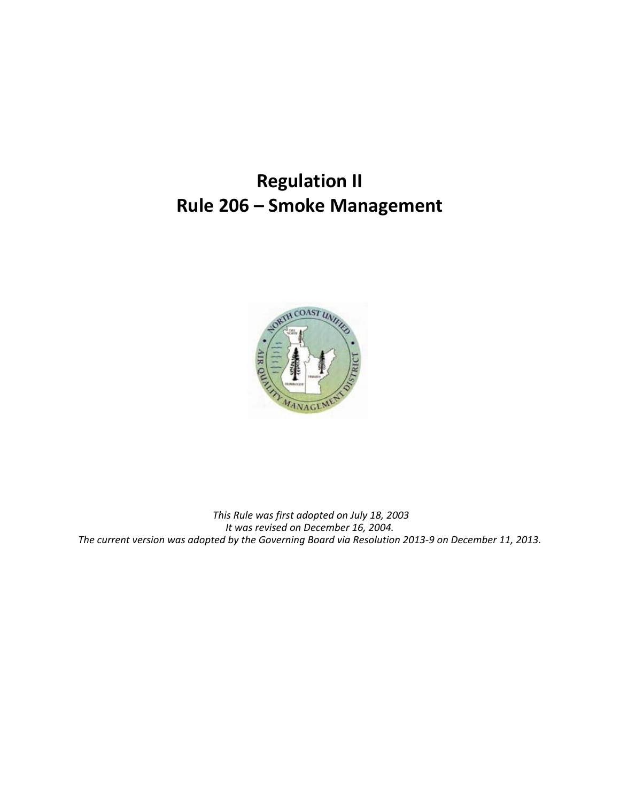# **Regulation II Rule 206 – Smoke Management**



 *This Rule was first adopted on July 18, 2003 It was revised on December 16, 2004. The current version was adopted by the Governing Board via Resolution 2013-9 on December 11, 2013.*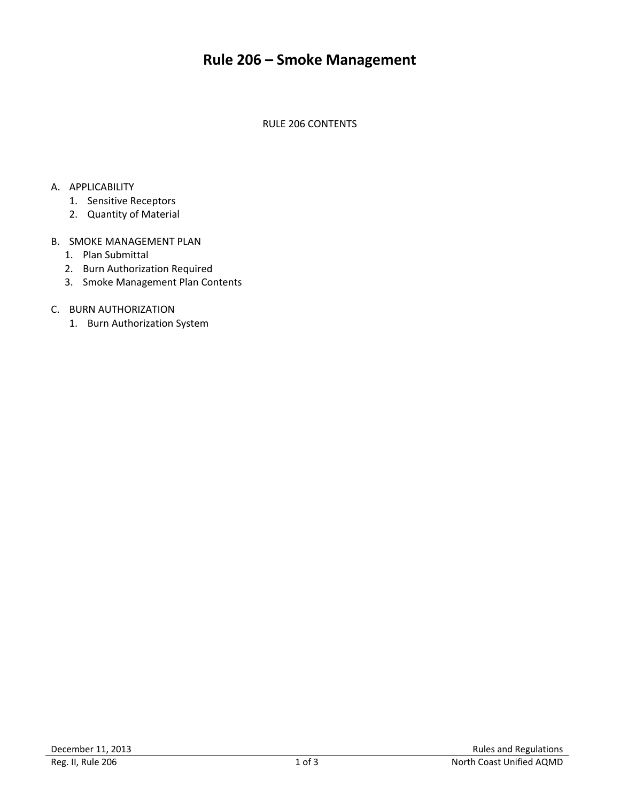# **Rule 206 – Smoke Management**

RULE 206 CONTENTS

#### A. APPLICABILITY

- 1. Sensitive Receptors
- 2. Quantity of Material

#### B. SMOKE MANAGEMENT PLAN

- 1. Plan Submittal
- 2. Burn Authorization Required
- 3. Smoke Management Plan Contents

# C. BURN AUTHORIZATION

1. Burn Authorization System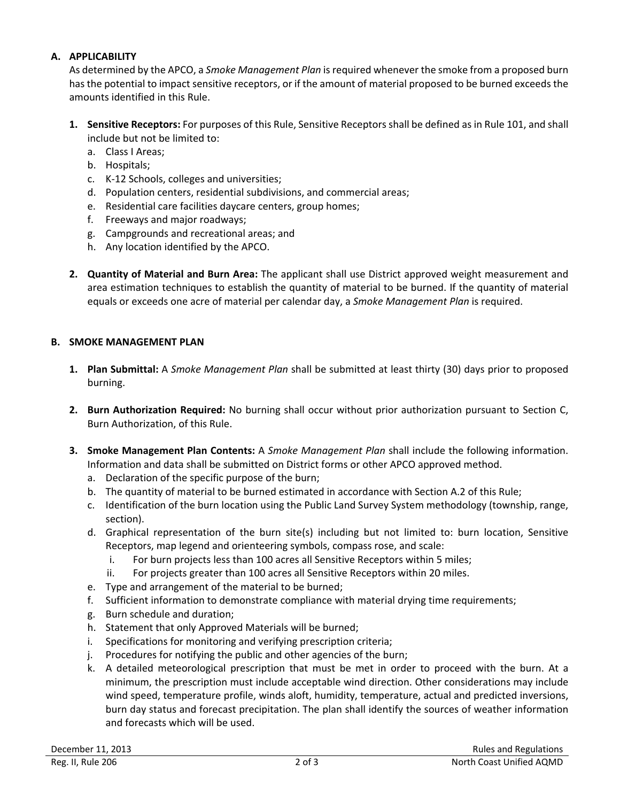#### **A. APPLICABILITY**

As determined by the APCO, a *Smoke Management Plan* is required whenever the smoke from a proposed burn has the potential to impact sensitive receptors, or if the amount of material proposed to be burned exceeds the amounts identified in this Rule.

- **1. Sensitive Receptors:** For purposes of this Rule, Sensitive Receptors shall be defined as in Rule 101, and shall include but not be limited to:
	- a. Class I Areas;
	- b. Hospitals;
	- c. K-12 Schools, colleges and universities;
	- d. Population centers, residential subdivisions, and commercial areas;
	- e. Residential care facilities daycare centers, group homes;
	- f. Freeways and major roadways;
	- g. Campgrounds and recreational areas; and
	- h. Any location identified by the APCO.
- **2. Quantity of Material and Burn Area:** The applicant shall use District approved weight measurement and area estimation techniques to establish the quantity of material to be burned. If the quantity of material equals or exceeds one acre of material per calendar day, a *Smoke Management Plan* is required.

# **B. SMOKE MANAGEMENT PLAN**

- **1. Plan Submittal:** A *Smoke Management Plan* shall be submitted at least thirty (30) days prior to proposed burning.
- **2. Burn Authorization Required:** No burning shall occur without prior authorization pursuant to Section C, Burn Authorization, of this Rule.
- **3. Smoke Management Plan Contents:** A *Smoke Management Plan* shall include the following information. Information and data shall be submitted on District forms or other APCO approved method.
	- a. Declaration of the specific purpose of the burn;
	- b. The quantity of material to be burned estimated in accordance with Section A.2 of this Rule;
	- c. Identification of the burn location using the Public Land Survey System methodology (township, range, section).
	- d. Graphical representation of the burn site(s) including but not limited to: burn location, Sensitive Receptors, map legend and orienteering symbols, compass rose, and scale:
		- i. For burn projects less than 100 acres all Sensitive Receptors within 5 miles;
		- ii. For projects greater than 100 acres all Sensitive Receptors within 20 miles.
	- e. Type and arrangement of the material to be burned;
	- f. Sufficient information to demonstrate compliance with material drying time requirements;
	- g. Burn schedule and duration;
	- h. Statement that only Approved Materials will be burned;
	- i. Specifications for monitoring and verifying prescription criteria;
	- j. Procedures for notifying the public and other agencies of the burn;
	- k. A detailed meteorological prescription that must be met in order to proceed with the burn. At a minimum, the prescription must include acceptable wind direction. Other considerations may include wind speed, temperature profile, winds aloft, humidity, temperature, actual and predicted inversions, burn day status and forecast precipitation. The plan shall identify the sources of weather information and forecasts which will be used.